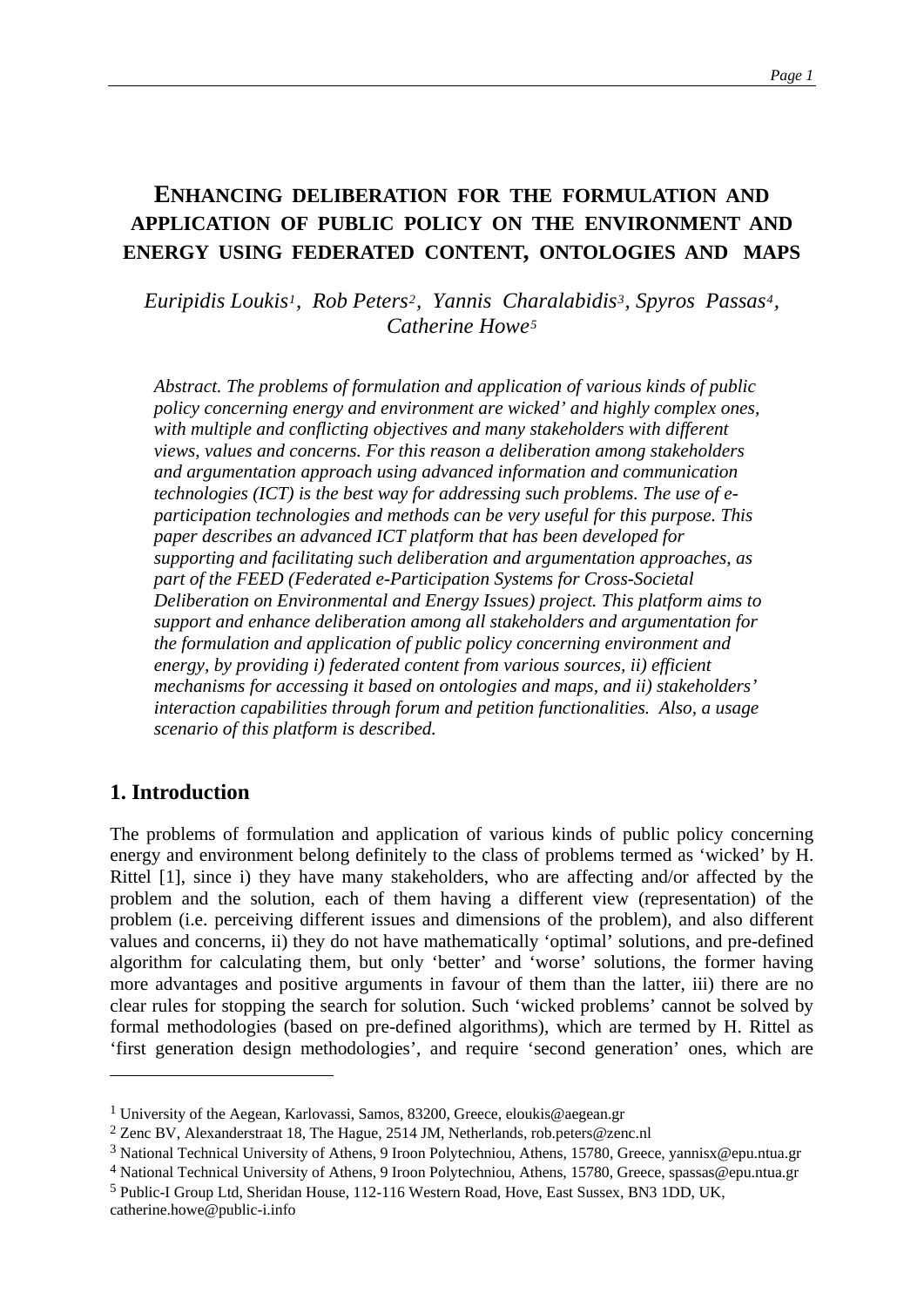# **ENHANCING DELIBERATION FOR THE FORMULATION AND APPLICATION OF PUBLIC POLICY ON THE ENVIRONMENT AND ENERGY USING FEDERATED CONTENT, ONTOLOGIES AND MAPS**

*Euripidis Loukis[1](#page-0-0), Rob Peters[2](#page-0-1), Yannis Ch[ar](#page-0-4)alabidis[3](#page-0-2), Spyros Passas[4](#page-0-3), Catherine Howe[5](#page-0-4)*

*Abstract. The problems of formulation and application of various kinds of public policy concerning energy and environment are wicked' and highly complex ones, with multiple and conflicting objectives and many stakeholders with different views, values and concerns. For this reason a deliberation among stakeholders and argumentation approach using advanced information and communication technologies (ICT) is the best way for addressing such problems. The use of eparticipation technologies and methods can be very useful for this purpose. This paper describes an advanced ICT platform that has been developed for supporting and facilitating such deliberation and argumentation approaches, as part of the FEED (Federated e-Participation Systems for Cross-Societal Deliberation on Environmental and Energy Issues) project. This platform aims to support and enhance deliberation among all stakeholders and argumentation for the formulation and application of public policy concerning environment and energy, by providing i) federated content from various sources, ii) efficient mechanisms for accessing it based on ontologies and maps, and ii) stakeholders' interaction capabilities through forum and petition functionalities. Also, a usage scenario of this platform is described.* 

### **1. Introduction**

<u>.</u>

The problems of formulation and application of various kinds of public policy concerning energy and environment belong definitely to the class of problems termed as 'wicked' by H. Rittel [1], since i) they have many stakeholders, who are affecting and/or affected by the problem and the solution, each of them having a different view (representation) of the problem (i.e. perceiving different issues and dimensions of the problem), and also different values and concerns, ii) they do not have mathematically 'optimal' solutions, and pre-defined algorithm for calculating them, but only 'better' and 'worse' solutions, the former having more advantages and positive arguments in favour of them than the latter, iii) there are no clear rules for stopping the search for solution. Such 'wicked problems' cannot be solved by formal methodologies (based on pre-defined algorithms), which are termed by H. Rittel as 'first generation design methodologies', and require 'second generation' ones, which are

<span id="page-0-0"></span><sup>1</sup> University of the Aegean, Karlovassi, Samos, 83200, Greece, eloukis@aegean.gr

<span id="page-0-1"></span><sup>2</sup> Zenc BV, Alexanderstraat 18, The Hague, 2514 JM, Netherlands, rob.peters@zenc.nl

<span id="page-0-2"></span><sup>3</sup> National Technical University of Athens, 9 Iroon Polytechniou, Athens, 15780, Greece, yannisx@epu.ntua.gr

<span id="page-0-3"></span><sup>4</sup> National Technical University of Athens, 9 Iroon Polytechniou, Athens, 15780, Greece, spassas@epu.ntua.gr

<span id="page-0-4"></span><sup>5</sup> Public-I Group Ltd, Sheridan House, 112-116 Western Road, Hove, East Sussex, BN3 1DD, UK, catherine.howe@public-i.info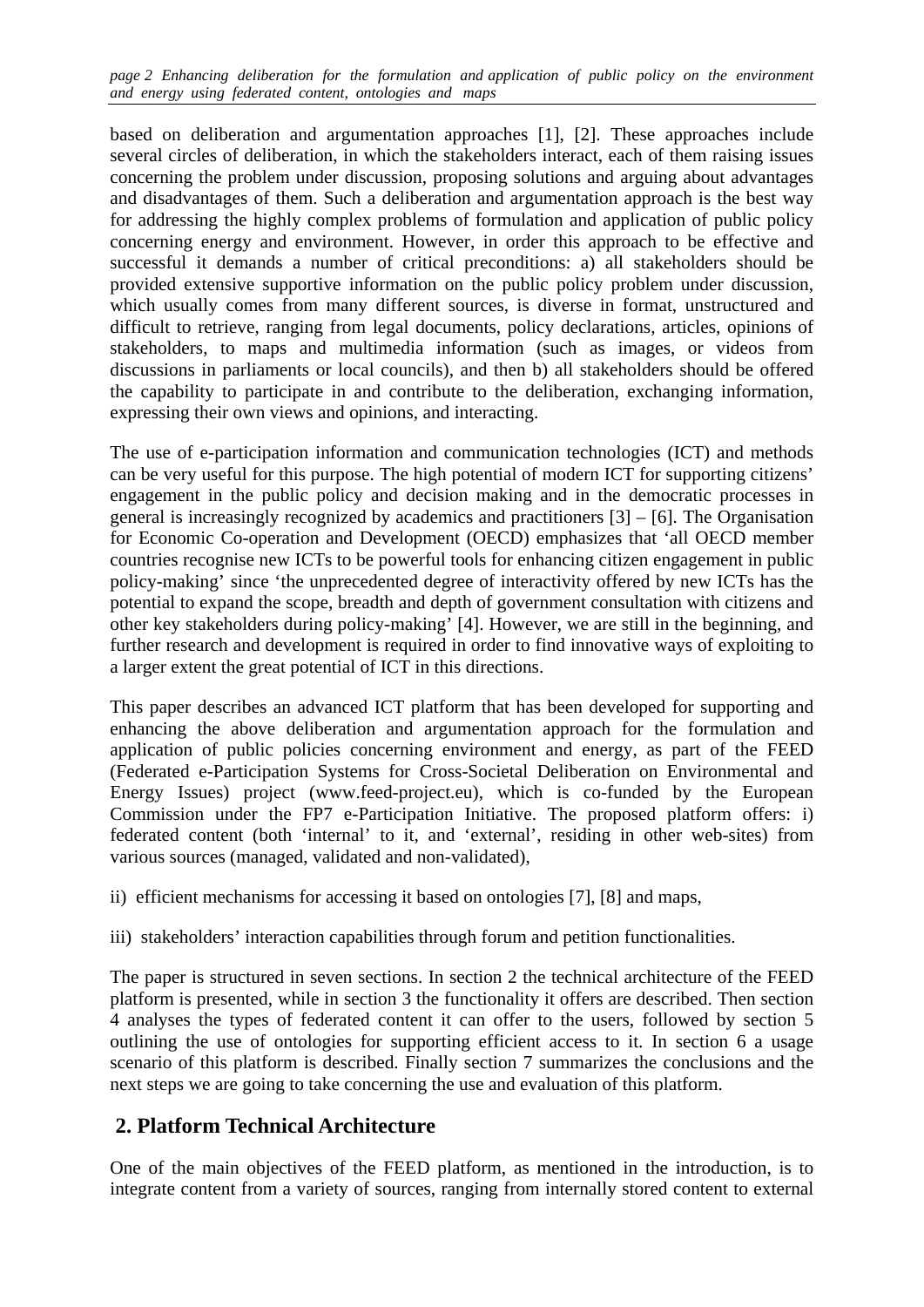*page 2 Enhancing deliberation for the formulation and application of public policy on the environment and energy using federated content, ontologies and maps* 

based on deliberation and argumentation approaches [1], [2]. These approaches include several circles of deliberation, in which the stakeholders interact, each of them raising issues concerning the problem under discussion, proposing solutions and arguing about advantages and disadvantages of them. Such a deliberation and argumentation approach is the best way for addressing the highly complex problems of formulation and application of public policy concerning energy and environment. However, in order this approach to be effective and successful it demands a number of critical preconditions: a) all stakeholders should be provided extensive supportive information on the public policy problem under discussion, which usually comes from many different sources, is diverse in format, unstructured and difficult to retrieve, ranging from legal documents, policy declarations, articles, opinions of stakeholders, to maps and multimedia information (such as images, or videos from discussions in parliaments or local councils), and then b) all stakeholders should be offered the capability to participate in and contribute to the deliberation, exchanging information, expressing their own views and opinions, and interacting.

The use of e-participation information and communication technologies (ICT) and methods can be very useful for this purpose. The high potential of modern ICT for supporting citizens' engagement in the public policy and decision making and in the democratic processes in general is increasingly recognized by academics and practitioners [3] – [6]. The Organisation for Economic Co-operation and Development (OECD) emphasizes that 'all OECD member countries recognise new ICTs to be powerful tools for enhancing citizen engagement in public policy-making' since 'the unprecedented degree of interactivity offered by new ICTs has the potential to expand the scope, breadth and depth of government consultation with citizens and other key stakeholders during policy-making' [4]. However, we are still in the beginning, and further research and development is required in order to find innovative ways of exploiting to a larger extent the great potential of ICT in this directions.

This paper describes an advanced ICT platform that has been developed for supporting and enhancing the above deliberation and argumentation approach for the formulation and application of public policies concerning environment and energy, as part of the FEED (Federated e-Participation Systems for Cross-Societal Deliberation on Environmental and Energy Issues) project (www.feed-project.eu), which is co-funded by the European Commission under the FP7 e-Participation Initiative. The proposed platform offers: i) federated content (both 'internal' to it, and 'external', residing in other web-sites) from various sources (managed, validated and non-validated),

- ii) efficient mechanisms for accessing it based on ontologies [7], [8] and maps,
- iii) stakeholders' interaction capabilities through forum and petition functionalities.

The paper is structured in seven sections. In section 2 the technical architecture of the FEED platform is presented, while in section 3 the functionality it offers are described. Then section 4 analyses the types of federated content it can offer to the users, followed by section 5 outlining the use of ontologies for supporting efficient access to it. In section 6 a usage scenario of this platform is described. Finally section 7 summarizes the conclusions and the next steps we are going to take concerning the use and evaluation of this platform.

# **2. Platform Technical Architecture**

One of the main objectives of the FEED platform, as mentioned in the introduction, is to integrate content from a variety of sources, ranging from internally stored content to external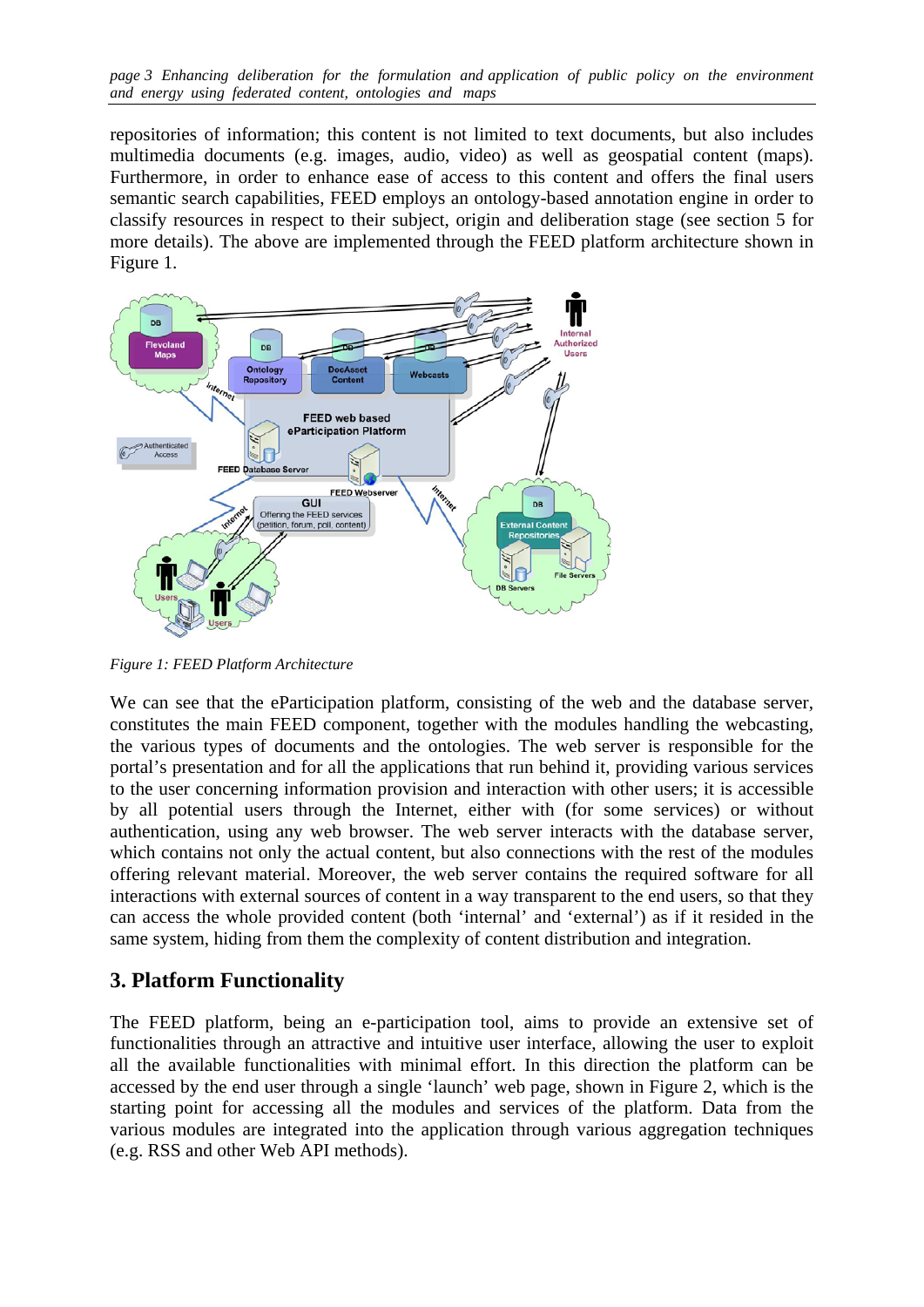*page 3 Enhancing deliberation for the formulation and application of public policy on the environment and energy using federated content, ontologies and maps* 

repositories of information; this content is not limited to text documents, but also includes multimedia documents (e.g. images, audio, video) as well as geospatial content (maps). Furthermore, in order to enhance ease of access to this content and offers the final users semantic search capabilities, FEED employs an ontology-based annotation engine in order to classify resources in respect to their subject, origin and deliberation stage (see section 5 for more details). The above are implemented through the FEED platform architecture shown in [Figure 1](#page-2-0).



<span id="page-2-0"></span>*Figure 1: FEED Platform Architecture* 

We can see that the eParticipation platform, consisting of the web and the database server, constitutes the main FEED component, together with the modules handling the webcasting, the various types of documents and the ontologies. The web server is responsible for the portal's presentation and for all the applications that run behind it, providing various services to the user concerning information provision and interaction with other users; it is accessible by all potential users through the Internet, either with (for some services) or without authentication, using any web browser. The web server interacts with the database server, which contains not only the actual content, but also connections with the rest of the modules offering relevant material. Moreover, the web server contains the required software for all interactions with external sources of content in a way transparent to the end users, so that they can access the whole provided content (both 'internal' and 'external') as if it resided in the same system, hiding from them the complexity of content distribution and integration.

### **3. Platform Functionality**

The FEED platform, being an e-participation tool, aims to provide an extensive set of functionalities through an attractive and intuitive user interface, allowing the user to exploit all the available functionalities with minimal effort. In this direction the platform can be accessed by the end user through a single 'launch' web page, shown in [Figure 2](#page-3-0), which is the starting point for accessing all the modules and services of the platform. Data from the various modules are integrated into the application through various aggregation techniques (e.g. RSS and other Web API methods).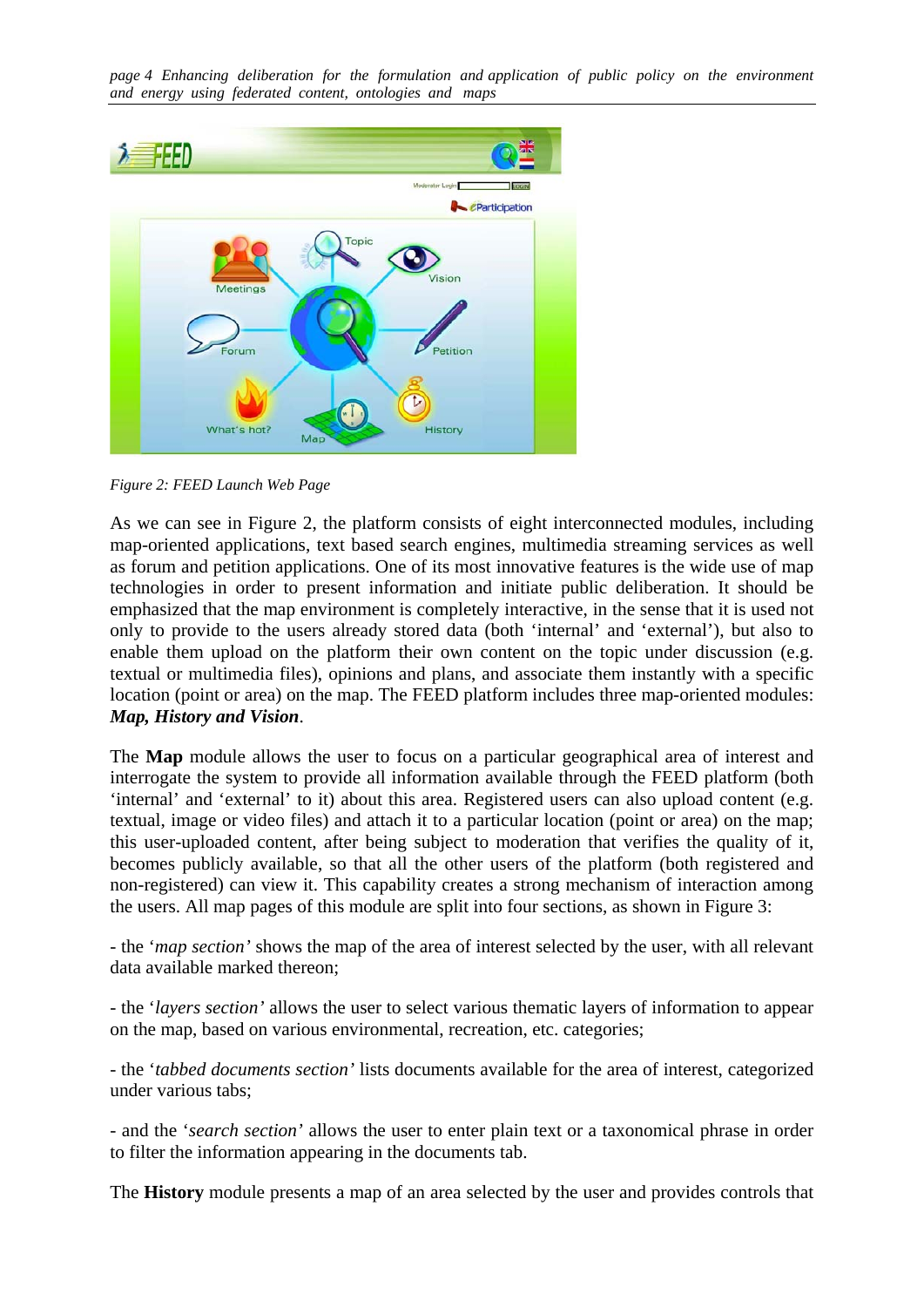*page 4 Enhancing deliberation for the formulation and application of public policy on the environment and energy using federated content, ontologies and maps* 



*Figure 2: FEED Launch Web Page* 

<span id="page-3-0"></span>As we can see in [Figure 2](#page-3-0), the platform consists of eight interconnected modules, including map-oriented applications, text based search engines, multimedia streaming services as well as forum and petition applications. One of its most innovative features is the wide use of map technologies in order to present information and initiate public deliberation. It should be emphasized that the map environment is completely interactive, in the sense that it is used not only to provide to the users already stored data (both 'internal' and 'external'), but also to enable them upload on the platform their own content on the topic under discussion (e.g. textual or multimedia files), opinions and plans, and associate them instantly with a specific location (point or area) on the map. The FEED platform includes three map-oriented modules: *Map, History and Vision*.

The **Map** module allows the user to focus on a particular geographical area of interest and interrogate the system to provide all information available through the FEED platform (both 'internal' and 'external' to it) about this area. Registered users can also upload content (e.g. textual, image or video files) and attach it to a particular location (point or area) on the map; this user-uploaded content, after being subject to moderation that verifies the quality of it, becomes publicly available, so that all the other users of the platform (both registered and non-registered) can view it. This capability creates a strong mechanism of interaction among the users. All map pages of this module are split into four sections, as shown in [Figure 3](#page-4-0):

- the '*map section'* shows the map of the area of interest selected by the user, with all relevant data available marked thereon;

- the '*layers section'* allows the user to select various thematic layers of information to appear on the map, based on various environmental, recreation, etc. categories;

- the '*tabbed documents section'* lists documents available for the area of interest, categorized under various tabs;

- and the '*search section'* allows the user to enter plain text or a taxonomical phrase in order to filter the information appearing in the documents tab.

The **History** module presents a map of an area selected by the user and provides controls that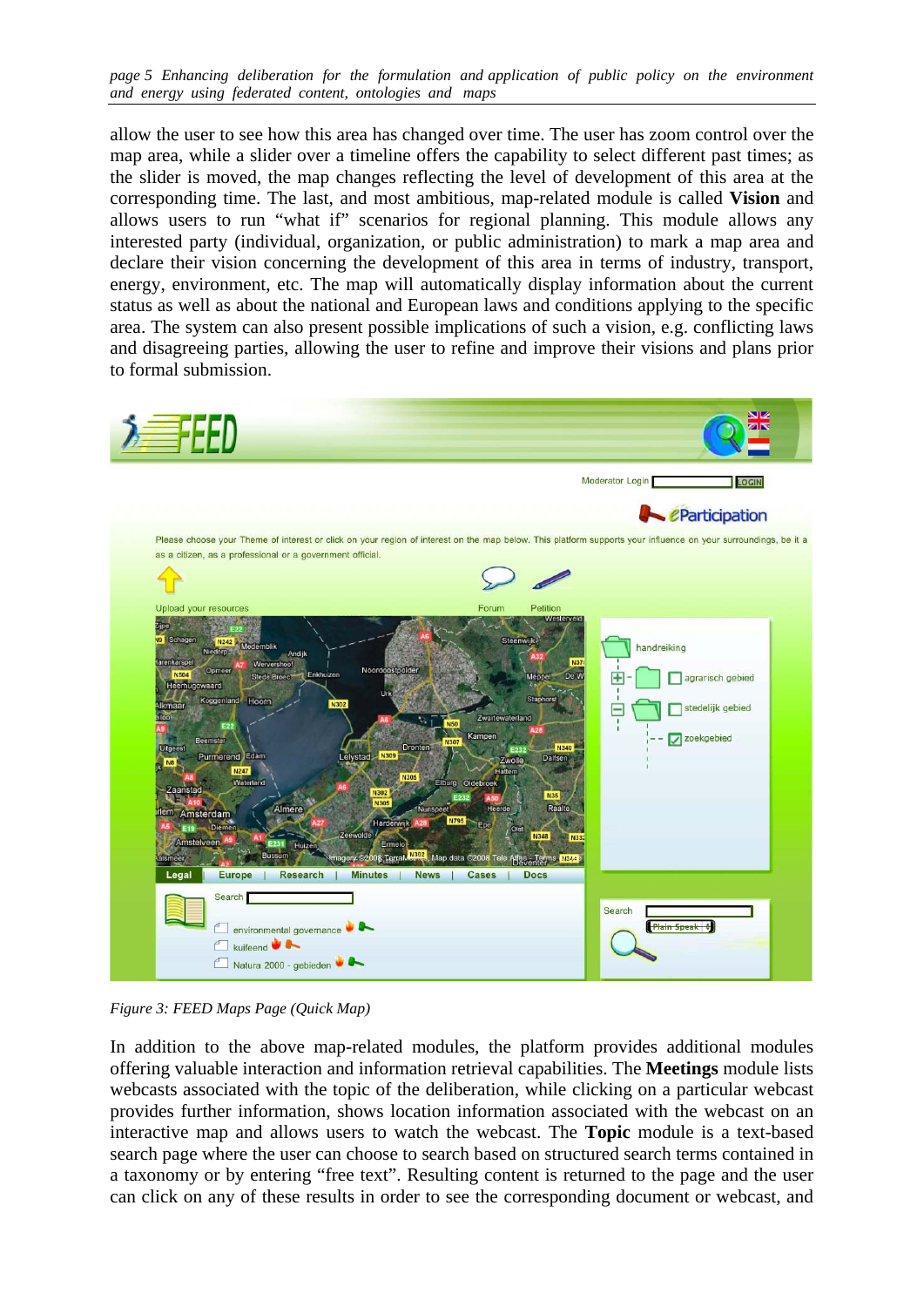*page 5 Enhancing deliberation for the formulation and application of public policy on the environment and energy using federated content, ontologies and maps* 

allow the user to see how this area has changed over time. The user has zoom control over the map area, while a slider over a timeline offers the capability to select different past times; as the slider is moved, the map changes reflecting the level of development of this area at the corresponding time. The last, and most ambitious, map-related module is called **Vision** and allows users to run "what if" scenarios for regional planning. This module allows any interested party (individual, organization, or public administration) to mark a map area and declare their vision concerning the development of this area in terms of industry, transport, energy, environment, etc. The map will automatically display information about the current status as well as about the national and European laws and conditions applying to the specific area. The system can also present possible implications of such a vision, e.g. conflicting laws and disagreeing parties, allowing the user to refine and improve their visions and plans prior to formal submission.



<span id="page-4-0"></span>*Figure 3: FEED Maps Page (Quick Map)* 

In addition to the above map-related modules, the platform provides additional modules offering valuable interaction and information retrieval capabilities. The **Meetings** module lists webcasts associated with the topic of the deliberation, while clicking on a particular webcast provides further information, shows location information associated with the webcast on an interactive map and allows users to watch the webcast. The **Topic** module is a text-based search page where the user can choose to search based on structured search terms contained in a taxonomy or by entering "free text". Resulting content is returned to the page and the user can click on any of these results in order to see the corresponding document or webcast, and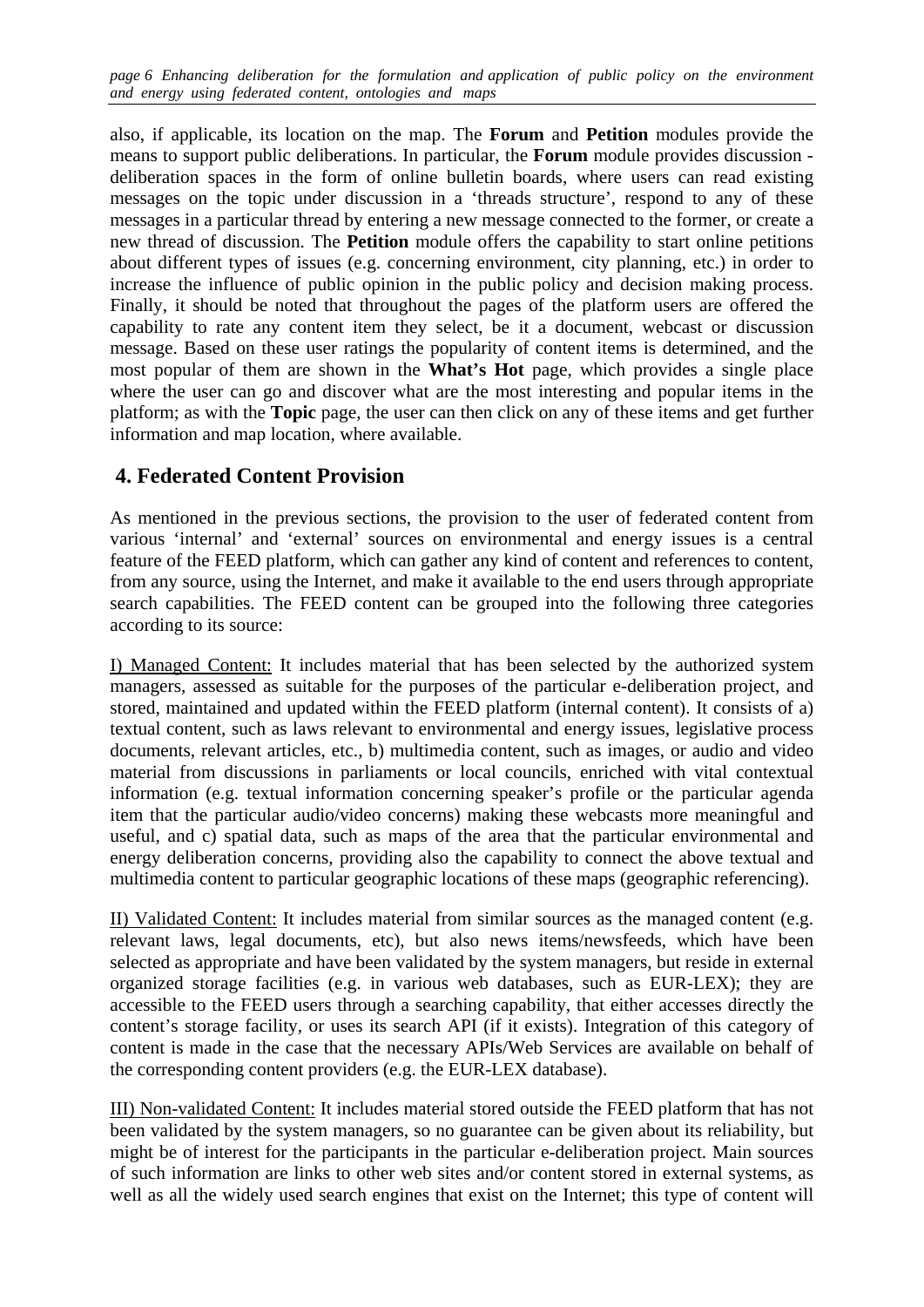*page 6 Enhancing deliberation for the formulation and application of public policy on the environment and energy using federated content, ontologies and maps* 

also, if applicable, its location on the map. The **Forum** and **Petition** modules provide the means to support public deliberations. In particular, the **Forum** module provides discussion deliberation spaces in the form of online bulletin boards, where users can read existing messages on the topic under discussion in a 'threads structure', respond to any of these messages in a particular thread by entering a new message connected to the former, or create a new thread of discussion. The **Petition** module offers the capability to start online petitions about different types of issues (e.g. concerning environment, city planning, etc.) in order to increase the influence of public opinion in the public policy and decision making process. Finally, it should be noted that throughout the pages of the platform users are offered the capability to rate any content item they select, be it a document, webcast or discussion message. Based on these user ratings the popularity of content items is determined, and the most popular of them are shown in the **What's Hot** page, which provides a single place where the user can go and discover what are the most interesting and popular items in the platform; as with the **Topic** page, the user can then click on any of these items and get further information and map location, where available.

## **4. Federated Content Provision**

As mentioned in the previous sections, the provision to the user of federated content from various 'internal' and 'external' sources on environmental and energy issues is a central feature of the FEED platform, which can gather any kind of content and references to content, from any source, using the Internet, and make it available to the end users through appropriate search capabilities. The FEED content can be grouped into the following three categories according to its source:

I) Managed Content: It includes material that has been selected by the authorized system managers, assessed as suitable for the purposes of the particular e-deliberation project, and stored, maintained and updated within the FEED platform (internal content). It consists of a) textual content, such as laws relevant to environmental and energy issues, legislative process documents, relevant articles, etc., b) multimedia content, such as images, or audio and video material from discussions in parliaments or local councils, enriched with vital contextual information (e.g. textual information concerning speaker's profile or the particular agenda item that the particular audio/video concerns) making these webcasts more meaningful and useful, and c) spatial data, such as maps of the area that the particular environmental and energy deliberation concerns, providing also the capability to connect the above textual and multimedia content to particular geographic locations of these maps (geographic referencing).

II) Validated Content: It includes material from similar sources as the managed content (e.g. relevant laws, legal documents, etc), but also news items/newsfeeds, which have been selected as appropriate and have been validated by the system managers, but reside in external organized storage facilities (e.g. in various web databases, such as EUR-LEX); they are accessible to the FEED users through a searching capability, that either accesses directly the content's storage facility, or uses its search API (if it exists). Integration of this category of content is made in the case that the necessary APIs/Web Services are available on behalf of the corresponding content providers (e.g. the EUR-LEX database).

III) Non-validated Content: It includes material stored outside the FEED platform that has not been validated by the system managers, so no guarantee can be given about its reliability, but might be of interest for the participants in the particular e-deliberation project. Main sources of such information are links to other web sites and/or content stored in external systems, as well as all the widely used search engines that exist on the Internet; this type of content will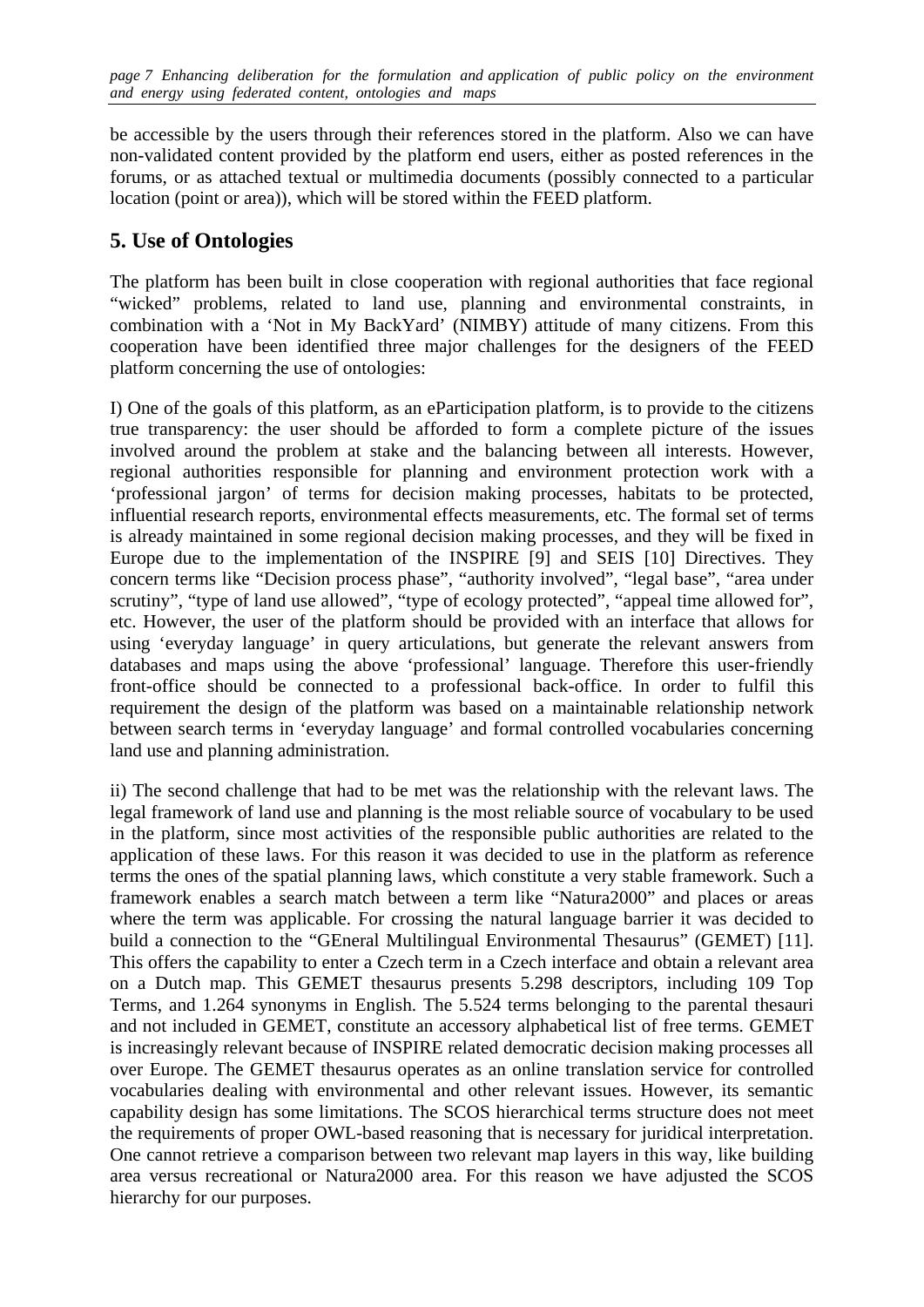be accessible by the users through their references stored in the platform. Also we can have non-validated content provided by the platform end users, either as posted references in the forums, or as attached textual or multimedia documents (possibly connected to a particular location (point or area)), which will be stored within the FEED platform.

# **5. Use of Ontologies**

The platform has been built in close cooperation with regional authorities that face regional "wicked" problems, related to land use, planning and environmental constraints, in combination with a 'Not in My BackYard' (NIMBY) attitude of many citizens. From this cooperation have been identified three major challenges for the designers of the FEED platform concerning the use of ontologies:

I) One of the goals of this platform, as an eParticipation platform, is to provide to the citizens true transparency: the user should be afforded to form a complete picture of the issues involved around the problem at stake and the balancing between all interests. However, regional authorities responsible for planning and environment protection work with a 'professional jargon' of terms for decision making processes, habitats to be protected, influential research reports, environmental effects measurements, etc. The formal set of terms is already maintained in some regional decision making processes, and they will be fixed in Europe due to the implementation of the INSPIRE [9] and SEIS [10] Directives. They concern terms like "Decision process phase", "authority involved", "legal base", "area under scrutiny", "type of land use allowed", "type of ecology protected", "appeal time allowed for", etc. However, the user of the platform should be provided with an interface that allows for using 'everyday language' in query articulations, but generate the relevant answers from databases and maps using the above 'professional' language. Therefore this user-friendly front-office should be connected to a professional back-office. In order to fulfil this requirement the design of the platform was based on a maintainable relationship network between search terms in 'everyday language' and formal controlled vocabularies concerning land use and planning administration.

ii) The second challenge that had to be met was the relationship with the relevant laws. The legal framework of land use and planning is the most reliable source of vocabulary to be used in the platform, since most activities of the responsible public authorities are related to the application of these laws. For this reason it was decided to use in the platform as reference terms the ones of the spatial planning laws, which constitute a very stable framework. Such a framework enables a search match between a term like "Natura2000" and places or areas where the term was applicable. For crossing the natural language barrier it was decided to build a connection to the "GEneral Multilingual Environmental Thesaurus" (GEMET) [11]. This offers the capability to enter a Czech term in a Czech interface and obtain a relevant area on a Dutch map. This GEMET thesaurus presents 5.298 descriptors, including 109 Top Terms, and 1.264 synonyms in English. The 5.524 terms belonging to the parental thesauri and not included in GEMET, constitute an accessory alphabetical list of free terms. GEMET is increasingly relevant because of INSPIRE related democratic decision making processes all over Europe. The GEMET thesaurus operates as an online translation service for controlled vocabularies dealing with environmental and other relevant issues. However, its semantic capability design has some limitations. The SCOS hierarchical terms structure does not meet the requirements of proper OWL-based reasoning that is necessary for juridical interpretation. One cannot retrieve a comparison between two relevant map layers in this way, like building area versus recreational or Natura2000 area. For this reason we have adjusted the SCOS hierarchy for our purposes.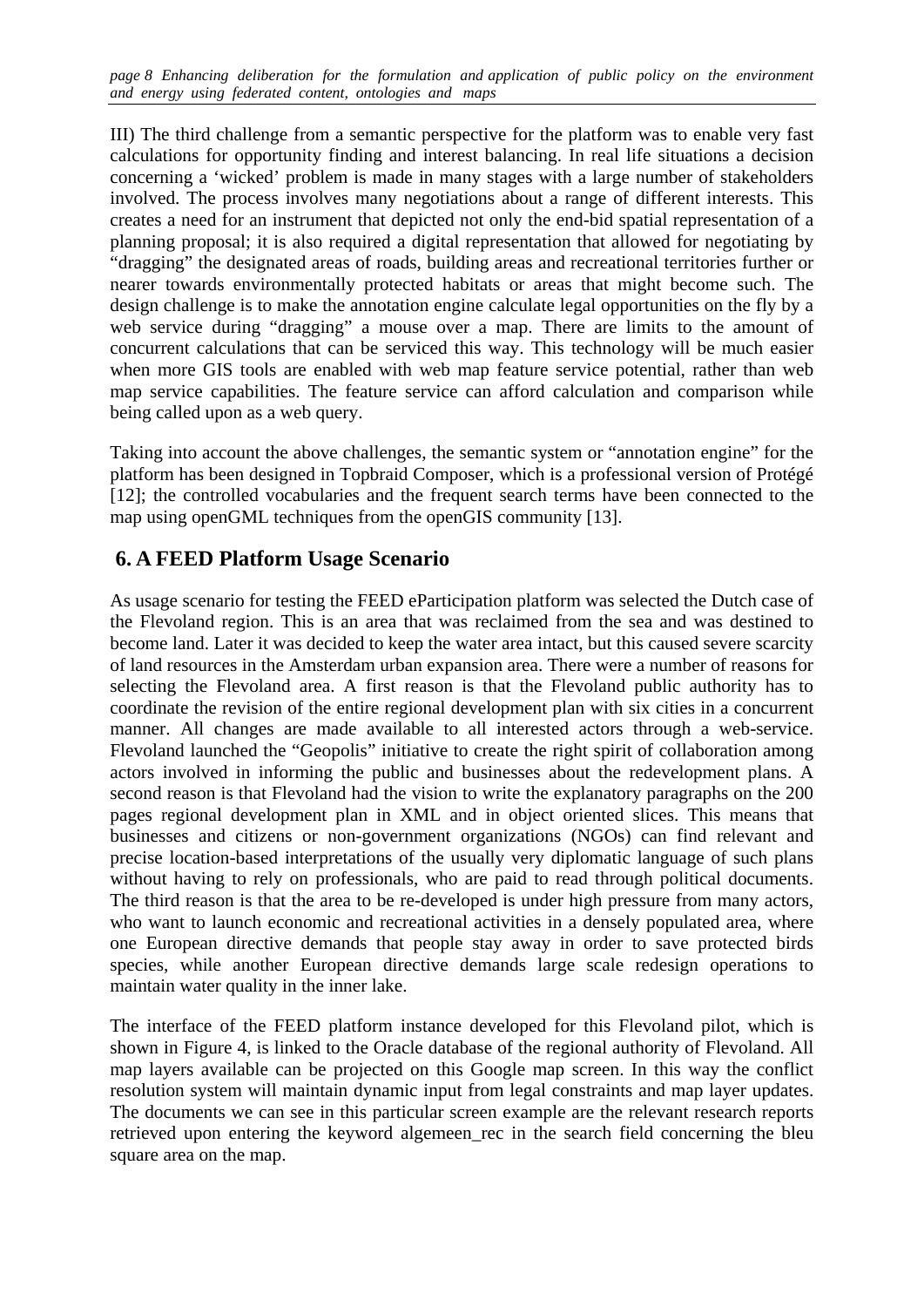*page 8 Enhancing deliberation for the formulation and application of public policy on the environment and energy using federated content, ontologies and maps* 

III) The third challenge from a semantic perspective for the platform was to enable very fast calculations for opportunity finding and interest balancing. In real life situations a decision concerning a 'wicked' problem is made in many stages with a large number of stakeholders involved. The process involves many negotiations about a range of different interests. This creates a need for an instrument that depicted not only the end-bid spatial representation of a planning proposal; it is also required a digital representation that allowed for negotiating by "dragging" the designated areas of roads, building areas and recreational territories further or nearer towards environmentally protected habitats or areas that might become such. The design challenge is to make the annotation engine calculate legal opportunities on the fly by a web service during "dragging" a mouse over a map. There are limits to the amount of concurrent calculations that can be serviced this way. This technology will be much easier when more GIS tools are enabled with web map feature service potential, rather than web map service capabilities. The feature service can afford calculation and comparison while being called upon as a web query.

Taking into account the above challenges, the semantic system or "annotation engine" for the platform has been designed in Topbraid Composer, which is a professional version of Protégé [12]; the controlled vocabularies and the frequent search terms have been connected to the map using openGML techniques from the openGIS community [13].

### **6. A FEED Platform Usage Scenario**

As usage scenario for testing the FEED eParticipation platform was selected the Dutch case of the Flevoland region. This is an area that was reclaimed from the sea and was destined to become land. Later it was decided to keep the water area intact, but this caused severe scarcity of land resources in the Amsterdam urban expansion area. There were a number of reasons for selecting the Flevoland area. A first reason is that the Flevoland public authority has to coordinate the revision of the entire regional development plan with six cities in a concurrent manner. All changes are made available to all interested actors through a web-service. Flevoland launched the "Geopolis" initiative to create the right spirit of collaboration among actors involved in informing the public and businesses about the redevelopment plans. A second reason is that Flevoland had the vision to write the explanatory paragraphs on the 200 pages regional development plan in XML and in object oriented slices. This means that businesses and citizens or non-government organizations (NGOs) can find relevant and precise location-based interpretations of the usually very diplomatic language of such plans without having to rely on professionals, who are paid to read through political documents. The third reason is that the area to be re-developed is under high pressure from many actors, who want to launch economic and recreational activities in a densely populated area, where one European directive demands that people stay away in order to save protected birds species, while another European directive demands large scale redesign operations to maintain water quality in the inner lake.

The interface of the FEED platform instance developed for this Flevoland pilot, which is shown in Figure 4, is linked to the Oracle database of the regional authority of Flevoland. All map layers available can be projected on this Google map screen. In this way the conflict resolution system will maintain dynamic input from legal constraints and map layer updates. The documents we can see in this particular screen example are the relevant research reports retrieved upon entering the keyword algemeen\_rec in the search field concerning the bleu square area on the map.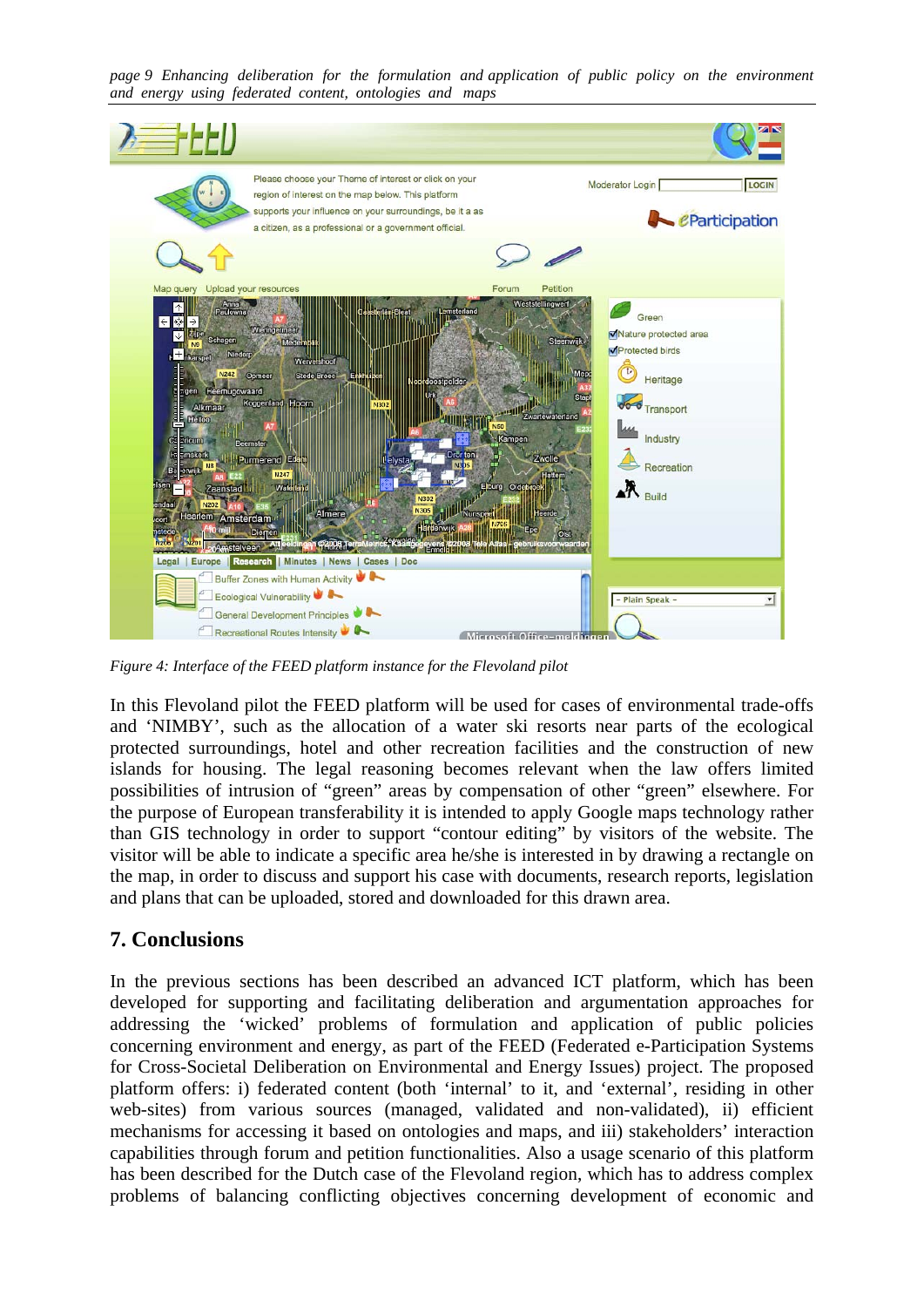*page 9 Enhancing deliberation for the formulation and application of public policy on the environment and energy using federated content, ontologies and maps* 



*Figure 4: Interface of the FEED platform instance for the Flevoland pilot* 

In this Flevoland pilot the FEED platform will be used for cases of environmental trade-offs and 'NIMBY', such as the allocation of a water ski resorts near parts of the ecological protected surroundings, hotel and other recreation facilities and the construction of new islands for housing. The legal reasoning becomes relevant when the law offers limited possibilities of intrusion of "green" areas by compensation of other "green" elsewhere. For the purpose of European transferability it is intended to apply Google maps technology rather than GIS technology in order to support "contour editing" by visitors of the website. The visitor will be able to indicate a specific area he/she is interested in by drawing a rectangle on the map, in order to discuss and support his case with documents, research reports, legislation and plans that can be uploaded, stored and downloaded for this drawn area.

#### **7. Conclusions**

In the previous sections has been described an advanced ICT platform, which has been developed for supporting and facilitating deliberation and argumentation approaches for addressing the 'wicked' problems of formulation and application of public policies concerning environment and energy, as part of the FEED (Federated e-Participation Systems for Cross-Societal Deliberation on Environmental and Energy Issues) project. The proposed platform offers: i) federated content (both 'internal' to it, and 'external', residing in other web-sites) from various sources (managed, validated and non-validated), ii) efficient mechanisms for accessing it based on ontologies and maps, and iii) stakeholders' interaction capabilities through forum and petition functionalities. Also a usage scenario of this platform has been described for the Dutch case of the Flevoland region, which has to address complex problems of balancing conflicting objectives concerning development of economic and